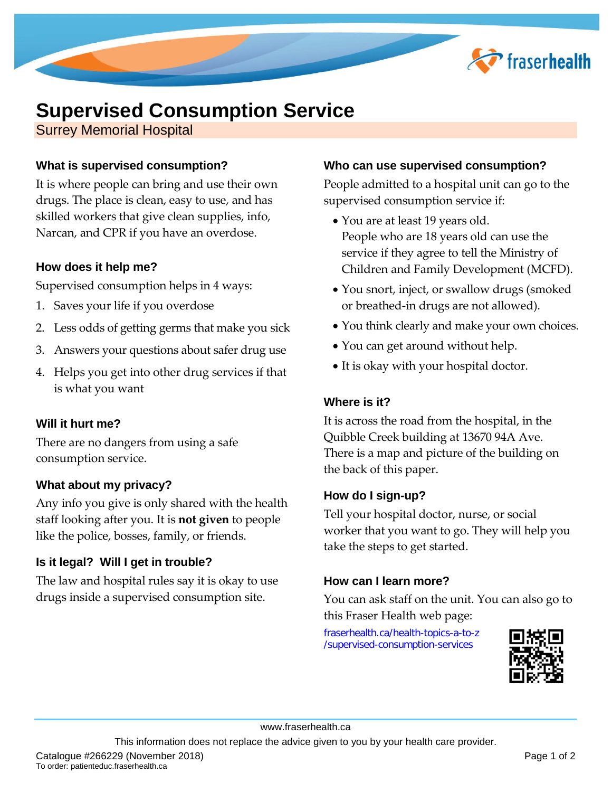

# **Supervised Consumption Service**

Surrey Memorial Hospital

# **What is supervised consumption?**

It is where people can bring and use their own drugs. The place is clean, easy to use, and has skilled workers that give clean supplies, info, Narcan, and CPR if you have an overdose.

#### **How does it help me?**

Supervised consumption helps in 4 ways:

- 1. Saves your life if you overdose
- 2. Less odds of getting germs that make you sick
- 3. Answers your questions about safer drug use
- 4. Helps you get into other drug services if that is what you want

# **Will it hurt me?**

There are no dangers from using a safe consumption service.

#### **What about my privacy?**

Any info you give is only shared with the health staff looking after you. It is **not given** to people like the police, bosses, family, or friends.

# **Is it legal? Will I get in trouble?**

The law and hospital rules say it is okay to use drugs inside a supervised consumption site.

#### **Who can use supervised consumption?**

People admitted to a hospital unit can go to the supervised consumption service if:

- You are at least 19 years old. People who are 18 years old can use the service if they agree to tell the Ministry of Children and Family Development (MCFD).
- You snort, inject, or swallow drugs (smoked) or breathed-in drugs are not allowed).
- You think clearly and make your own choices.
- You can get around without help.
- It is okay with your hospital doctor.

# **Where is it?**

It is across the road from the hospital, in the Quibble Creek building at 13670 94A Ave. There is a map and picture of the building on the back of this paper.

# **How do I sign-up?**

Tell your hospital doctor, nurse, or social worker that you want to go. They will help you take the steps to get started.

# **How can I learn more?**

You can ask staff on the unit. You can also go to this Fraser Health web page:

[fraserhealth.ca/health-topics-a-to-z](https://www.fraserhealth.ca/health-topics-a-to-z/supervised-consumption-services) [/supervised-consumption-services](https://www.fraserhealth.ca/health-topics-a-to-z/supervised-consumption-services)